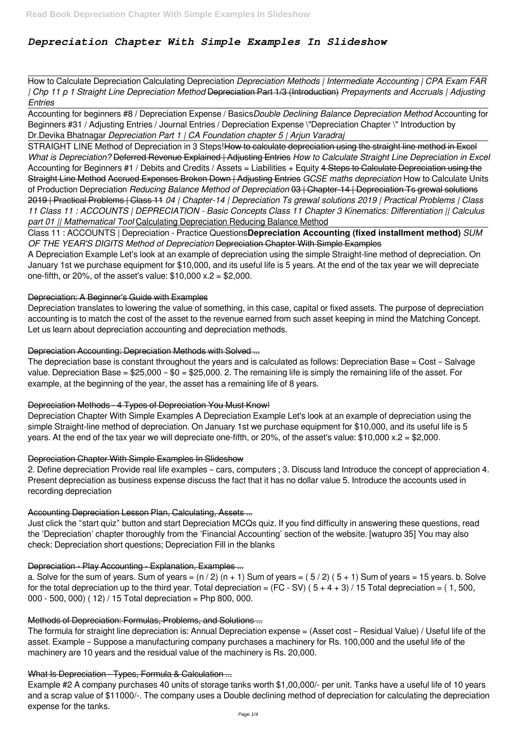# *Depreciation Chapter With Simple Examples In Slideshow*

How to Calculate Depreciation Calculating Depreciation *Depreciation Methods | Intermediate Accounting | CPA Exam FAR | Chp 11 p 1 Straight Line Depreciation Method* Depreciation Part 1/3 (Introduction) *Prepayments and Accruals | Adjusting Entries*

Accounting for beginners #8 / Depreciation Expense / Basics*Double Declining Balance Depreciation Method* Accounting for Beginners #31 / Adjusting Entries / Journal Entries / Depreciation Expense \"Depreciation Chapter \" Introduction by Dr.Devika Bhatnagar *Depreciation Part 1 | CA Foundation chapter 5 | Arjun Varadraj*

STRAIGHT LINE Method of Depreciation in 3 Steps!How to calculate depreciation using the straight line method in Excel *What is Depreciation?* Deferred Revenue Explained | Adjusting Entries *How to Calculate Straight Line Depreciation in Excel* Accounting for Beginners #1 / Debits and Credits / Assets = Liabilities + Equity 4 Steps to Calculate Depreciation using the Straight Line Method Accrued Expenses Broken Down | Adjusting Entries *GCSE maths depreciation* How to Calculate Units of Production Depreciation *Reducing Balance Method of Depreciation* 03 | Chapter-14 | Depreciation Ts grewal solutions 2019 | Practical Problems | Class 11 *04 | Chapter-14 | Depreciation Ts grewal solutions 2019 | Practical Problems | Class 11 Class 11 : ACCOUNTS | DEPRECIATION - Basic Concepts Class 11 Chapter 3 Kinematics: Differentiation || Calculus part 01 || Mathematical Tool* Calculating Depreciation Reducing Balance Method

A Depreciation Example Let's look at an example of depreciation using the simple Straight-line method of depreciation. On January 1st we purchase equipment for \$10,000, and its useful life is 5 years. At the end of the tax year we will depreciate one-fifth, or 20%, of the asset's value:  $$10,000 \times 2 = $2,000$ .

Class 11 : ACCOUNTS | Depreciation - Practice Questions**Depreciation Accounting (fixed installment method)** *SUM OF THE YEAR'S DIGITS Method of Depreciation* Depreciation Chapter With Simple Examples

#### Depreciation: A Beginner's Guide with Examples

Depreciation translates to lowering the value of something, in this case, capital or fixed assets. The purpose of depreciation accounting is to match the cost of the asset to the revenue earned from such asset keeping in mind the Matching Concept. Let us learn about depreciation accounting and depreciation methods.

# Depreciation Accounting: Depreciation Methods with Solved ...

The depreciation base is constant throughout the years and is calculated as follows: Depreciation Base = Cost – Salvage value. Depreciation Base =  $$25,000 - $0 = $25,000$ . 2. The remaining life is simply the remaining life of the asset. For example, at the beginning of the year, the asset has a remaining life of 8 years.

# Depreciation Methods - 4 Types of Depreciation You Must Know!

Depreciation Chapter With Simple Examples A Depreciation Example Let's look at an example of depreciation using the simple Straight-line method of depreciation. On January 1st we purchase equipment for \$10,000, and its useful life is 5 years. At the end of the tax year we will depreciate one-fifth, or 20%, of the asset's value: \$10,000 x.2 = \$2,000.

#### Depreciation Chapter With Simple Examples In Slideshow

2. Define depreciation Provide real life examples – cars, computers ; 3. Discuss land Introduce the concept of appreciation 4. Present depreciation as business expense discuss the fact that it has no dollar value 5. Introduce the accounts used in recording depreciation

# Accounting Depreciation Lesson Plan, Calculating, Assets ...

Just click the "start quiz" button and start Depreciation MCQs quiz. If you find difficulty in answering these questions, read the 'Depreciation' chapter thoroughly from the 'Financial Accounting' section of the website. [watupro 35] You may also check: Depreciation short questions; Depreciation Fill in the blanks

Depreciation - Play Accounting - Explanation, Examples ...

a. Solve for the sum of years. Sum of years =  $(n / 2)$   $(n + 1)$  Sum of years =  $(5 / 2)$   $(5 + 1)$  Sum of years = 15 years. b. Solve for the total depreciation up to the third year. Total depreciation =  $(FC - SV) (5 + 4 + 3) / 15$  Total depreciation = (1, 500, 000 - 500, 000) (12) / 15 Total depreciation = Php 800, 000.

#### Methods of Depreciation: Formulas, Problems, and Solutions ...

The formula for straight line depreciation is: Annual Depreciation expense = (Asset cost – Residual Value) / Useful life of the asset. Example – Suppose a manufacturing company purchases a machinery for Rs. 100,000 and the useful life of the machinery are 10 years and the residual value of the machinery is Rs. 20,000.

#### What Is Depreciation - Types, Formula & Calculation ...

Example #2 A company purchases 40 units of storage tanks worth \$1,00,000/- per unit. Tanks have a useful life of 10 years and a scrap value of \$11000/-. The company uses a Double declining method of depreciation for calculating the depreciation expense for the tanks.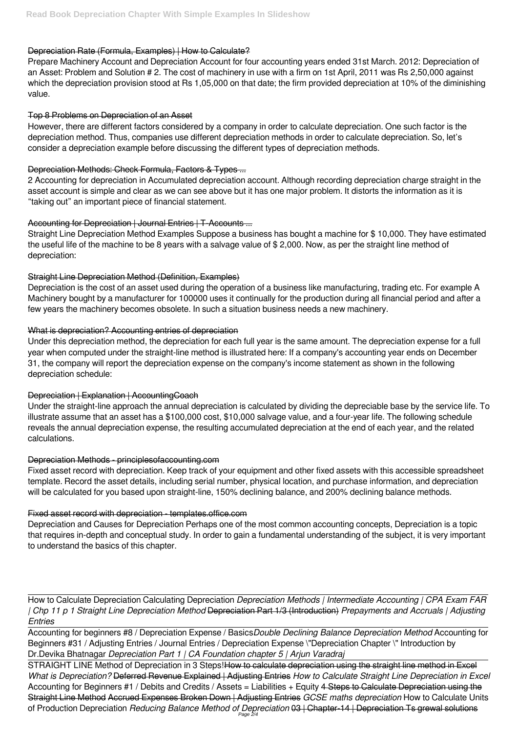## Depreciation Rate (Formula, Examples) | How to Calculate?

Prepare Machinery Account and Depreciation Account for four accounting years ended 31st March. 2012: Depreciation of an Asset: Problem and Solution # 2. The cost of machinery in use with a firm on 1st April, 2011 was Rs 2,50,000 against which the depreciation provision stood at Rs 1,05,000 on that date; the firm provided depreciation at 10% of the diminishing value.

### Top 8 Problems on Depreciation of an Asset

However, there are different factors considered by a company in order to calculate depreciation. One such factor is the depreciation method. Thus, companies use different depreciation methods in order to calculate depreciation. So, let's consider a depreciation example before discussing the different types of depreciation methods.

# Depreciation Methods: Check Formula, Factors & Types ...

2 Accounting for depreciation in Accumulated depreciation account. Although recording depreciation charge straight in the asset account is simple and clear as we can see above but it has one major problem. It distorts the information as it is "taking out" an important piece of financial statement.

# Accounting for Depreciation | Journal Entries | T-Accounts ...

Straight Line Depreciation Method Examples Suppose a business has bought a machine for \$ 10,000. They have estimated the useful life of the machine to be 8 years with a salvage value of \$ 2,000. Now, as per the straight line method of depreciation:

Fixed asset record with depreciation. Keep track of your equipment and other fixed assets with this accessible spreadsheet template. Record the asset details, including serial number, physical location, and purchase information, and depreciation will be calculated for you based upon straight-line, 150% declining balance, and 200% declining balance methods.

### Straight Line Depreciation Method (Definition, Examples)

Depreciation is the cost of an asset used during the operation of a business like manufacturing, trading etc. For example A Machinery bought by a manufacturer for 100000 uses it continually for the production during all financial period and after a few years the machinery becomes obsolete. In such a situation business needs a new machinery.

# What is depreciation? Accounting entries of depreciation

Under this depreciation method, the depreciation for each full year is the same amount. The depreciation expense for a full year when computed under the straight-line method is illustrated here: If a company's accounting year ends on December 31, the company will report the depreciation expense on the company's income statement as shown in the following depreciation schedule:

# Depreciation | Explanation | AccountingCoach

Under the straight-line approach the annual depreciation is calculated by dividing the depreciable base by the service life. To illustrate assume that an asset has a \$100,000 cost, \$10,000 salvage value, and a four-year life. The following schedule reveals the annual depreciation expense, the resulting accumulated depreciation at the end of each year, and the related calculations.

#### Depreciation Methods - principlesofaccounting.com

#### Fixed asset record with depreciation - templates.office.com

Depreciation and Causes for Depreciation Perhaps one of the most common accounting concepts, Depreciation is a topic that requires in-depth and conceptual study. In order to gain a fundamental understanding of the subject, it is very important to understand the basics of this chapter.

How to Calculate Depreciation Calculating Depreciation *Depreciation Methods | Intermediate Accounting | CPA Exam FAR | Chp 11 p 1 Straight Line Depreciation Method* Depreciation Part 1/3 (Introduction) *Prepayments and Accruals | Adjusting Entries*

Accounting for beginners #8 / Depreciation Expense / Basics*Double Declining Balance Depreciation Method* Accounting for Beginners #31 / Adjusting Entries / Journal Entries / Depreciation Expense \"Depreciation Chapter \" Introduction by Dr.Devika Bhatnagar *Depreciation Part 1 | CA Foundation chapter 5 | Arjun Varadraj*

STRAIGHT LINE Method of Depreciation in 3 Steps!How to calculate depreciation using the straight line method in Excel *What is Depreciation?* Deferred Revenue Explained | Adjusting Entries *How to Calculate Straight Line Depreciation in Excel* Accounting for Beginners #1 / Debits and Credits / Assets = Liabilities + Equity 4 Steps to Calculate Depreciation using the Straight Line Method Accrued Expenses Broken Down | Adjusting Entries *GCSE maths depreciation* How to Calculate Units of Production Depreciation *Reducing Balance Method of Depreciation* 03 | Chapter-14 | Depreciation Ts grewal solutions Page  $2/$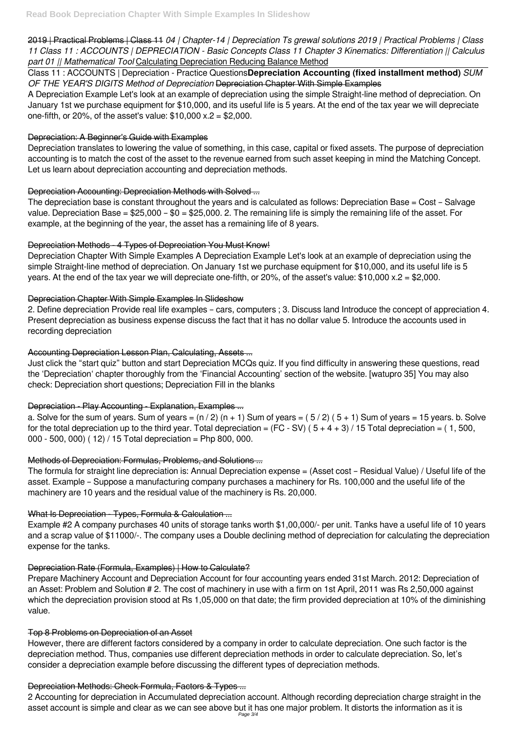2019 | Practical Problems | Class 11 *04 | Chapter-14 | Depreciation Ts grewal solutions 2019 | Practical Problems | Class 11 Class 11 : ACCOUNTS | DEPRECIATION - Basic Concepts Class 11 Chapter 3 Kinematics: Differentiation || Calculus part 01 || Mathematical Tool* Calculating Depreciation Reducing Balance Method

A Depreciation Example Let's look at an example of depreciation using the simple Straight-line method of depreciation. On January 1st we purchase equipment for \$10,000, and its useful life is 5 years. At the end of the tax year we will depreciate one-fifth, or 20%, of the asset's value:  $$10,000 \times 2 = $2,000$ .

Class 11 : ACCOUNTS | Depreciation - Practice Questions**Depreciation Accounting (fixed installment method)** *SUM OF THE YEAR'S DIGITS Method of Depreciation* Depreciation Chapter With Simple Examples

Depreciation Chapter With Simple Examples A Depreciation Example Let's look at an example of depreciation using the simple Straight-line method of depreciation. On January 1st we purchase equipment for \$10,000, and its useful life is 5 years. At the end of the tax year we will depreciate one-fifth, or 20%, of the asset's value:  $$10,000 \times 2 = $2,000$ .

### Depreciation: A Beginner's Guide with Examples

Depreciation translates to lowering the value of something, in this case, capital or fixed assets. The purpose of depreciation accounting is to match the cost of the asset to the revenue earned from such asset keeping in mind the Matching Concept. Let us learn about depreciation accounting and depreciation methods.

### Depreciation Accounting: Depreciation Methods with Solved ...

The depreciation base is constant throughout the years and is calculated as follows: Depreciation Base = Cost – Salvage value. Depreciation Base =  $$25,000 - $0 = $25,000$ . 2. The remaining life is simply the remaining life of the asset. For example, at the beginning of the year, the asset has a remaining life of 8 years.

# Depreciation Methods - 4 Types of Depreciation You Must Know!

# Depreciation Chapter With Simple Examples In Slideshow

2. Define depreciation Provide real life examples – cars, computers ; 3. Discuss land Introduce the concept of appreciation 4. Present depreciation as business expense discuss the fact that it has no dollar value 5. Introduce the accounts used in recording depreciation

# Accounting Depreciation Lesson Plan, Calculating, Assets ...

Just click the "start quiz" button and start Depreciation MCQs quiz. If you find difficulty in answering these questions, read the 'Depreciation' chapter thoroughly from the 'Financial Accounting' section of the website. [watupro 35] You may also check: Depreciation short questions; Depreciation Fill in the blanks

# Depreciation - Play Accounting - Explanation, Examples ...

a. Solve for the sum of years. Sum of years =  $(n / 2)$   $(n + 1)$  Sum of years =  $(5 / 2)$   $(5 + 1)$  Sum of years = 15 years. b. Solve for the total depreciation up to the third year. Total depreciation =  $(FC - SV) (5 + 4 + 3) / 15$  Total depreciation = (1, 500, 000 - 500, 000) (12) / 15 Total depreciation = Php 800, 000.

# Methods of Depreciation: Formulas, Problems, and Solutions ...

The formula for straight line depreciation is: Annual Depreciation expense = (Asset cost – Residual Value) / Useful life of the asset. Example – Suppose a manufacturing company purchases a machinery for Rs. 100,000 and the useful life of the machinery are 10 years and the residual value of the machinery is Rs. 20,000.

# What Is Depreciation - Types, Formula & Calculation ...

Example #2 A company purchases 40 units of storage tanks worth \$1,00,000/- per unit. Tanks have a useful life of 10 years and a scrap value of \$11000/-. The company uses a Double declining method of depreciation for calculating the depreciation expense for the tanks.

#### Depreciation Rate (Formula, Examples) | How to Calculate?

Prepare Machinery Account and Depreciation Account for four accounting years ended 31st March. 2012: Depreciation of an Asset: Problem and Solution # 2. The cost of machinery in use with a firm on 1st April, 2011 was Rs 2,50,000 against which the depreciation provision stood at Rs 1,05,000 on that date; the firm provided depreciation at 10% of the diminishing value.

#### Top 8 Problems on Depreciation of an Asset

However, there are different factors considered by a company in order to calculate depreciation. One such factor is the depreciation method. Thus, companies use different depreciation methods in order to calculate depreciation. So, let's consider a depreciation example before discussing the different types of depreciation methods.

#### Depreciation Methods: Check Formula, Factors & Types ...

2 Accounting for depreciation in Accumulated depreciation account. Although recording depreciation charge straight in the asset account is simple and clear as we can see above but it has one major problem. It distorts the information as it is Page 3/4